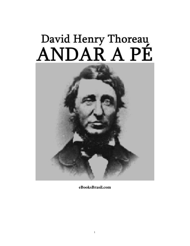# David Henry Thoreau<br>ANDAR A PÉ



**eBooksBrasil.com**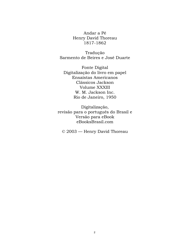Andar a Pé Henry David Thoreau 1817-1862

Tradução Sarmento de Beires e José Duarte

Fonte Digital Digitalização do livro em papel Ensaístas Americanos Clássicos Jackson Volume XXXIII W. M. Jackson Inc. Rio de Janeiro, 1950

Digitalização, revisão para o português do Brasil e Versão para eBook eBooksBrasil.com

© 2003 — Henry David Thoreau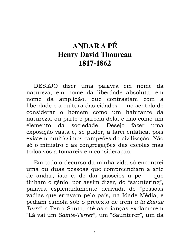# **ANDAR A PÉ Henry David Thoureau** 1817-1862

DESEJO dizer uma palavra em nome da natureza, em nome da liberdade absoluta, em nome da amplidão, que contrastam com a. liberdade e a cultura das cidades — no sentido de considerar o homem como um habitante da natureza, ou parte e parcela dela, e não como um sociedade. Desejo elemento da fazer uma exposição vasta e, se puder, a farei enfática, pois existem muitíssimos campeões da civilização. Não só o ministro e as congregações das escolas mas todos vós a tomareis em consideração.

Em todo o decurso da minha vida só encontrei uma ou duas pessoas que compreendiam a arte de andar, isto é, de dar passeios a pé — que tinham o gênio, por assim dizer, do "sauntering", palavra esplendidamente derivada de "pessoas vadias que erravam pelo país, na Idade Média, e pediam esmola sob o pretexto de irem à la Sainte Terre" à Terra Santa, até as crianças exclamarem "Lá vai um Sainte-Terrer", um "Saunterer", um da

 $\overline{3}$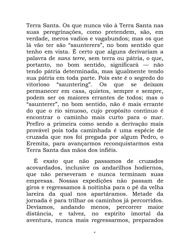Terra Santa. Os que nunca vão à Terra Santa nas suas peregrinações, como pretendem, são, em verdade, meros vadios e vagabundos; mas os que lá vão ter são "saunterers", no bom sentido que tenho em vista. É certo que alguns derivariam a palavra de sans terre, sem terra ou pátria, o que, portanto, no bom sentido, significará — não tendo pátria determinada, mas igualmente tendo sua pátria em toda parte. Pois este é o segredo do vitorioso "sauntering". Os que se deixam permanecer em casa, quietos, sempre e sempre, podem ser os maiores errantes de todos; mas o "saunterer", no bom sentido, não é mais errante do que o rio sinuoso, cujo propósito contínuo é encontrar o caminho mais curto para o mar. Prefiro a primeira como sendo a derivação mais provável pois toda caminhada é uma espécie de cruzada que nos foi pregada por algum Pedro, o Eremita, para avançarmos reconquistarmos esta Terra Santa das mãos dos infiéis.

É exato que não passamos de cruzados acovardados, inclusive os andarilhos hodiernos, que não perseveram e nunca terminam suas empresas. Nossas expedições não passam de giros e regressamos à noitinha para o pé da velha lareira da qual nos apartáramos. Metade da jornada é para trilhar os caminhos já percorridos. Devíamos, andando menos, percorrer maior distância, e talvez, no espírito imortal da aventura, nunca mais regressarmos, preparados

 $\overline{4}$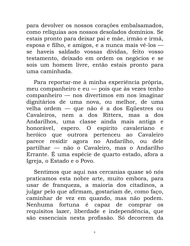para devolver os nossos corações embalsamados, como relíquias aos nossos desolados domínios. Se estais pronto para deixar pai e mãe, irmão e irmã, esposa e filho, e amigos, e a nunca mais vê-los se haveis saldado vossas dívidas, feito vosso testamento, deixado em ordem os negócios e se sois um homem livre, então estais pronto para uma caminhada.

Para reportar-me à minha experiência própria, meu companheiro e eu — pois que às vezes tenho companheiro — nos divertimos em nos imaginar dignitários de uma nova, ou melhor, de uma velha ordem — que não é a dos Equestres ou Cavaleiros, nem a dos Ritters, mas a dos Andarilhos, uma classe ainda mais antiga e honorável, espero. O espirito cavaleriano e heróico que outrora pertenceu ao Cavaleiro parece residir agora no Andarilho, ou dele partilhar — não o Cavaleiro, mas o Andarilho Errante. É uma espécie de quarto estado, afora a Igreja, o Estado e o Povo.

Sentimos que aqui nas cercanias quase só nós praticamos esta nobre arte, muito embora, para usar de franqueza, a maioria dos citadinos, a julgar pelo que afirmam, gostariam de, como faço, caminhar de vez em quando, mas não podem. Nenhuma fortuna é capaz de comprar **OS** requisitos lazer, liberdade e independência, que são essenciais nesta profissão. Só decorrem da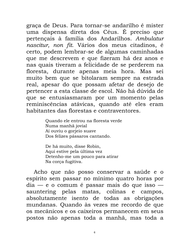graça de Deus. Para tornar-se andarilho é mister uma dispensa direta dos Céus. É preciso que pertençais à família dos Andarilhos. Ambulatur nascitur, non fit. Vários dos meus citadinos, é certo, podem lembrar-se de algumas caminhadas que me descrevem e que fizeram há dez anos e nas quais tiveram a felicidade de se perderem na floresta, durante apenas meia hora. Mas sei muito bem que se bitolaram sempre na estrada real, apesar do que possam afetar de desejo de pertencer a esta classe de escol. Não há dúvida de que se entusiasmaram por um momento pelas reminiscências atávicas, quando até eles eram habitantes das florestas e contraventores.

> Quando ele entrou na floresta verde Numa manhã jovial Aí ouviu o gorjeio suave Dos felizes pássaros cantando.

De há muito, disse Robin, Aqui estive pela última vez Detenho-me um pouco para atirar Na corca fugitiva.

Acho que não posso conservar a saúde e o espírito sem passar no mínimo quatro horas por  $dia - e$  o comum é passar mais do que isso  $$ sauntering pelas matas, colinas e campos, absolutamente isento de todas as obrigações mundanas. Quando às vezes me recordo de que os mecânicos e os caixeiros permanecem em seus postos não apenas toda a manhã, mas toda a

 $6\overline{6}$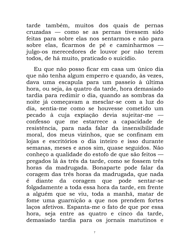tarde também, muitos dos quais de pernas cruzadas — como se as pernas tivessem sido feitas para sobre elas nos sentarmos e não para sobre elas, ficarmos de pé e caminharmos julgo-os merecedores de louvor por não terem todos, de há muito, praticado o suicídio.

Eu que não posso ficar em casa um único dia que não tenha algum emperro e quando, às vezes, dava uma escapula para um passeio à última hora, ou seja, às quatro da tarde, hora demasiado tardia para redimir o dia, quando as sombras da noite já começavam a mesclar-se com a luz do dia, sentia-me como se houvesse cometido um pecado à cuja expiação devia sujeitar-me confesso que me estarrece a capacidade de resistência, para nada falar da insensibilidade moral, dos meus vizinhos, que se confinam em lojas e escritórios o dia inteiro e isso durante semanas, meses e anos sim, quase seguidos. Não conheço a qualidade do estofo de que são feitos pregados lá às três da tarde, como se fossem três horas da madrugada. Bonaparte pode falar da coragem das três horas da madrugada, que nada diante da coragem que pode sentar-se  $\acute{\text{e}}$ folgadamente a toda essa hora da tarde, em frente a alguém que se viu, toda a manhã, matar de fome uma guarnição a que nos prendem fortes laços afetivos. Espanta-me o fato de que por essa hora, seja entre as quatro e cinco da tarde, demasiado tardia para os jornais matutinos e

 $\overline{7}$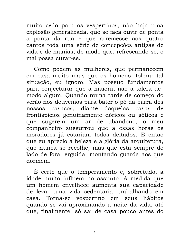muito cedo para os vespertinos, não haja uma explosão generalizada, que se faça ouvir de ponta a ponta da rua e que arremesse aos quatro cantos toda uma série de concepções antigas de vida e de manias, de modo que, refrescando-se, o mal possa curar-se.

Como podem as mulheres, que permanecem em casa muito mais que os homens, tolerar tal situação, eu ignoro. Mas possuo fundamentos para conjecturar que a maioria não a tolera de modo algum. Quando numa tarde de começo do verão nos detivemos para bater o pó da barra dos nossos casacos, diante daquelas casas de frontispícios genuinamente dóricos ou góticos e que sugerem um ar de abandono, o meu companheiro sussurrou que a essas horas os moradores já estariam todos deitados. É então que eu aprecio a beleza e a glória da arquitetura, que nunca se recolhe, mas que está sempre do lado de fora, erguida, montando guarda aos que dormem.

É certo que o temperamento e, sobretudo, a idade muito influem no assunto. À medida que um homem envelhece aumenta sua capacidade de levar uma vida sedentária, trabalhando em casa. Torna-se vespertino em seus hábitos quando se vai aproximando a noite da vida, até que, finalmente, só sai de casa pouco antes do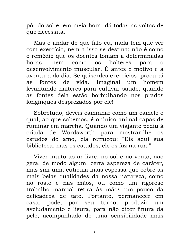pôr do sol e, em meia hora, dá todas as voltas de que necessita.

Mas o andar de que falo eu, nada tem que ver com exercício, nem a isso se destina; não é como o remédio que os doentes tomam a determinadas horas, nem como os halteres para o desenvolvimento muscular. É antes o motivo e a aventura do dia. Se quiserdes exercícios, procurai fontes de vida. Imaginai um homem as levantando halteres para cultivar saúde, quando as fontes dela estão borbulhando nos prados longínquos desprezados por ele!

Sobretudo, deveis caminhar como um camelo o qual, ao que sabemos, é o único animal capaz de ruminar em marcha. Quando um viajante pediu à Wordsworth para mostrar-lhe criada de  $OS$ estudos do amo, ela retrucou: "Eis aqui sua biblioteca, mas os estudos, ele os faz na rua."

Viver muito ao ar livre, no sol e no vento, não gera, de modo algum, certa aspereza de caráter, mas sim uma cutícula mais espessa que cobre as mais belas qualidades da nossa natureza, como no rosto e nas mãos, ou como um rigoroso trabalho manual retira às mãos um pouco da delicadeza de tato. Portanto, permanecer em casa, pode, por seu turno, produzir um aveludamento e lisura, para não dizer finura da pele, acompanhado de uma sensibilidade mais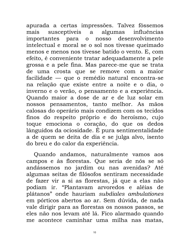apurada a certas impressões. Talvez fôssemos susceptíveis a algumas influências mais importantes para o nosso desenvolvimento intelectual e moral se o sol nos tivesse queimado menos e menos nos tivesse batido o vento. E, com efeito, é conveniente tratar adequadamente a pele grossa e a pele fina. Mas parece-me que se trata de uma crosta que se remove com a maior facilidade — que o remédio natural encontra-se na relação que existe entre a noite e o dia, o inverno e o verão, o pensamento e a experiência. Quando maior a dose de ar e de luz solar em nossos pensamentos, tanto melhor. As mãos calosas do operário mais condizem com os tecidos finos do respeito próprio e do heroísmo, cujo toque emociona o coração, do que os dedos lânguidos da ociosidade. É pura sentimentalidade a de quem se deita de dia e se julga alvo, isento do breu e do calor da experiência.

Quando andamos, naturalmente vamos aos campos e às florestas. Que seria de nós se só andássemos no jardim ou nas avenidas? Até algumas seitas de filósofos sentiram necessidade de fazer vir a si as florestas, já que a elas não podiam ir. "Plantavam arvoredos e aléias de plátanos" onde hauriam subdiales ambulationes em pórticos abertos ao ar. Sem dúvida, de nada vale dirigir para as florestas os nossos passos, se eles não nos levam até lá. Fico alarmado quando me acontece caminhar uma milha nas matas,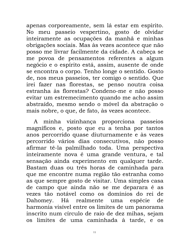apenas corporeamente, sem lá estar em espírito. No meu passeio vespertino, gosto de olvidar inteiramente as ocupações da manhã e minhas obrigações sociais. Mas às vezes acontece que não posso me livrar facilmente da cidade. A cabeça se me povoa de pensamentos referentes a algum negócio e o espírito está, assim, ausente de onde se encontra o corpo. Tenho longe o sentido. Gosto de, nos meus passeios, ter comigo o sentido. Que irei fazer nas florestas, se penso noutra coisa estranha às florestas? Condeno-me e não posso evitar um estremecimento quando me acho assim abstraído, mesmo sendo o móvel da abstração o mais nobre, o que, de fato, às vezes acontece.

A minha vizinhança proporciona passeios magníficos e, posto que eu a tenha por tantos anos percorrido quase diuturnamente e às vezes percorrido vários dias consecutivos, não posso afirmar tê-la palmilhado toda. Uma perspectiva inteiramente nova é uma grande ventura, e tal sensação ainda experimento em qualquer tarde. Bastam duas ou três horas de caminhada para que me encontre numa região tão estranha como as que sempre gosto de visitar. Uma simples casa de campo que ainda não se me deparara é as vezes tão notável como os domínios do rei de Dahomey. Há realmente uma espécie de harmonia visível entre os limites de um panorama inscrito num círculo de raio de dez mihas, sejam os limites de uma caminhada à tarde, e os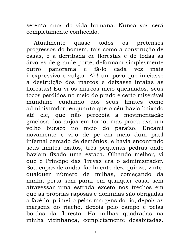setenta anos da vida humana. Nunca vos será completamente conhecido.

Atualmente quase todos os pretensos progressos do homem, tais como a construção de casas, e a derribada de florestas e de todas as árvores de grande porte, deformam simplesmente outro panorama e fá-lo cada vez mais inexpressivo e vulgar. Ah! um povo que iniciasse a destruição dos marcos e deixasse intatas as florestas! Eu vi os marcos meio queimados, seus tocos perdidos no meio do prado e certo miserável mundano cuidando dos seus limites como administrador, enquanto que o céu havia baixado até ele, que não percebia a movimentação graciosa dos anjos em torno, mas procurava um velho buraco no meio do paraíso. Encarei novamente e vi-o de pé em meio dum paul infernal cercado de demônios, e havia encontrado seus limites exatos, três pequenas pedras onde haviam fixado uma estaca. Olhando melhor, vi que o Príncipe das Trevas era o administrador. Sou capaz de andar facilmente dez, quinze, vinte, qualquer número de milhas, começando da minha porta sem parar em qualquer casa, sem atravessar uma estrada exceto nos trechos em que as próprias raposas e doninhas são obrigadas a fazê-lo: primeiro pelas margens do rio, depois as margens do riacho, depois pelo campo e pelas bordas da floresta. Há milhas quadradas na minha vizinhança, completamente desabitadas.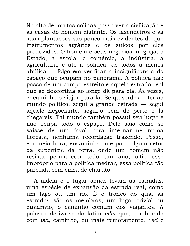No alto de muitas colinas posso ver a civilização e as casas do homem distante. Os fazendeiros e as suas plantações são pouco mais evidentes do que instrumentos agrários e os sulcos por eles produzidos. O homem e seus negócios, a Igreja, o Estado, a escola, o comércio, a indústria, a agricultura, e até a política, de todos a menos abúlica — folgo em verificar a insignificância do espaço que ocupam no panorama. A política não passa de um campo estreito e aquela estrada real que se descortina ao longe dá para ela. Às vezes, encaminho o viajor para lá. Se quiserdes ir ter ao mundo político, segui a grande estrada — segui aquele negociante, segui-o bem de perto e lá chegareis. Tal mundo também possui seu lugar e não ocupa todo o espaço. Dele saio como se saísse de um faval para internar-me numa floresta, nenhuma recordação trazendo. Posso, em meia hora, encaminhar-me para algum setor da superfície da terra, onde um homem não resista permanecer todo um ano, sítio esse impróprio para a política medrar, essa política tão parecida com cinza de charuto.

A aldeia é o lugar aonde levam as estradas, uma espécie de expansão da estrada real, como um lago ou um rio. É o tronco do qual as estradas são os membros, um lugar trivial ou quadrívio, o caminho comum dos viajantes. A palavra deriva-se do latim villa que, combinado com via, caminho, ou mais remotamente, ved e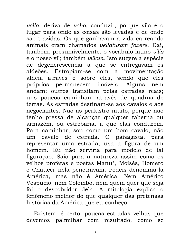vella, deriva de veho, conduzir, porque vila é o lugar para onde as coisas são levadas e de onde são trazidas. Os que ganhavam a vida carreando animais eram chamados vellaturam facere. Daí, também, presumivelmente, o vocábulo latino vilis e o nosso vil; também *villain*. Isto sugere a espécie de degenerescência a que se entregavam os aldeões. Estropiam-se com a movimentação alheia através e sobre eles, sendo que eles próprios permanecem imóveis. Alguns nem andam; outros transitam pelas estradas reais; uns poucos caminham através de quadras de terras. As estradas destinam-se aos cavalos e aos negociantes. Não as perlustro muito, porque não tenho pressa de alcançar qualquer taberna ou armazém, ou estrebaria, a que elas conduzem. Para caminhar, sou como um bom cavalo, não um cavalo de estrada. O paisagista, para representar uma estrada, usa a figura de um homem. Eu não serviria para modelo de tal figuração. Saio para a natureza assim como os velhos profetas e poetas Manu\*, Moisés, Homero e Chaucer nela penetravam. Podeis denominá-la América, mas não é América, Nem Américo Vespúcio, nem Colombo, nem quem quer que seja foi o descobridor dela. A mitologia explica o fenômeno melhor do que qualquer das pretensas histórias da América que eu conheço.

Existem, é certo, poucas estradas velhas que devemos palmilhar com resultado, como se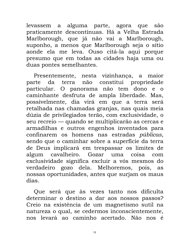levassem a alguma parte, agora que são praticamente descontínuas. Há a Velha Estrada Marlborough, que já não vai a Marlborough, suponho, a menos que Marlborough seja o sítio aonde ela me leva. Ouso citá-la aqui porque presumo que em todas as cidades haja uma ou duas pontes semelhantes.

Presentemente, nesta vizinhança, a maior parte da terra não constitui propriedade O panorama não tem dono e o particular. caminhante desfruta de ampla liberdade. Mas, possivelmente, dia virá em que a terra será retalhada nas chamadas granjas, nas quais meia dúzia de privilegiados terão, com exclusividade, o seu recreio — quando se multiplicarão as cercas e armadilhas e outros engenhos inventados para confinarem os homens nas estradas públicas, sendo que o caminhar sobre a superfície da terra de Deus implicará em trespassar os limites de algum cavalheiro. Gozar uma coisa com exclusividade significa excluir a vós mesmos do verdadeiro gozo dela. Melhoremos, pois, as nossas oportunidades, antes que surjam os maus dias.

Que será que às vezes tanto nos dificulta determinar o destino a dar aos nossos passos? Creio na existência de um magnetismo sutil na natureza o qual, se cedermos inconscientemente, nos levará ao caminho acertado. Não nos é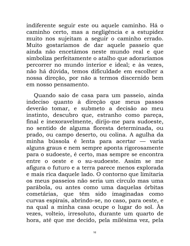indiferente seguir este ou aquele caminho. Há o caminho certo, mas a negligência e a estupidez muito nos sujeitam a seguir o caminho errado. Muito gostaríamos de dar aquele passeio que ainda não encetámos neste mundo real e que simboliza perfeitamente o atalho que adoraríamos percorrer no mundo interior e ideal; e às vezes, não há dúvida, temos dificuldade em escolher a nossa direção, por não a termos discernido bem em nosso pensamento.

Quando saio de casa para um passeio, ainda indeciso quanto à direção que meus passos deverão tomar, e submeto a decisão ao meu instinto, descubro que, estranho como pareça, final e inexoravelmente, dirijo-me para sudoeste, no sentido de alguma floresta determinada, ou prado, ou campo deserto, ou colina. A agulha da minha bússola é lenta para acertar — varia alguns graus e nem sempre aponta rigorosamente para o sudoeste, é certo, mas sempre se encontra entre o oeste e o su-sudoeste. Assim se me afigura o futuro e a terra parece menos explorada e mais rica daquele lado. O contorno que limitaria os meus passeios não seria um círculo mas uma parábola, ou antes como uma daquelas órbitas cometárias, que têm sido imaginadas como curvas espirais, abrindo-se, no caso, para oeste, e na qual a minha casa ocupe o lugar do sol. Às vezes, volteio, irresoluto, durante um quarto de hora, até que me decido, pela milésima vez, pela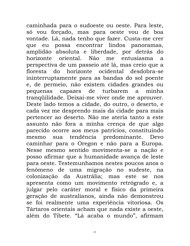caminhada para o sudoeste ou oeste. Para leste, só vou forçado, mas para oeste vou de boa vontade. Lá, nada tenho que fazer. Custa-me crer que eu possa encontrar lindos panoramas, amplidão absoluta e liberdade, por detrás do horizonte oriental. Não me entusiasma  $\mathsf{a}$ perspectiva de um passeio até lá, mas creio que a horizonte ocidental desdobra-se floresta do ininterruptamente para as bandas do sol poente e, de permeio, não existem cidades grandes ou capazes de turbarem pequenas minha  $\mathbf{a}$ tranqüilidade. Deixai-me viver onde me aprouver. Deste lado temos a cidade, do outro, o deserto, e cada vez me desprendo mais da cidade para mais pertencer ao deserto. Não me ateria tanto a este assunto não fora a minha crença de que algo parecido ocorre aos meus patrícios, constituindo sua tendência predominante. Devo mesmo caminhar para o Oregon e não para a Europa. Nesse mesmo sentido movimenta-se a nação e posso afirmar que a humanidade avança de leste para oeste. Testemunhamos nestes poucos anos o fenômeno de uma migração no sudeste, na colonização da Austrália; mas este se nos apresenta como um movimento retrógrado e, a julgar pelo caráter moral e físico da primeira geração de australianos, ainda não demonstrou se foi realmente uma experiência vitoriosa. Os Tártaros orientais acham que nada existe a oeste, além do Tibete. "Lá acaba o mundo", afirmam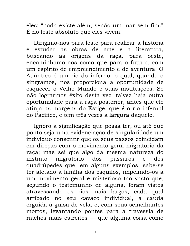eles; "nada existe além, senão um mar sem fim." É no leste absoluto que eles vivem.

Dirigimo-nos para leste para realizar a história e estudar as obras de arte e a literatura. origens da raça, para oeste, buscando as encaminhamo-nos como que para o futuro, com um espírito de empreendimento e de aventura. O Atlântico é um rio do inferno, o qual, quando o singramos, nos proporciona a oportunidade de esquecer o Velho Mundo e suas instituições. Se não lograrmos êxito desta vez, talvez haja outra oportunidade para a raça posterior, antes que ele atinja as margens do Estige, que é o rio infernal do Pacífico, e tem três vezes a largura daquele.

Ignoro a significação que possa ter, ou até que ponto seja uma evidenciação de singularidade um indivíduo consentir que os seus passos coincidam em direção com o movimento geral migratório da raça; mas sei que algo da mesma natureza do migratório dos pássaros instinto  $\mathbf{e}$ dos quadrúpedes que, em alguns exemplos, sabe-se ter afetado a família dos esquilos, impelindo-os a um movimento geral e misterioso tão vasto que, segundo o testemunho de alguns, foram vistos atravessando os rios mais largos, cada qual arribado no seu cavaco individual, a cauda erguida à guisa de vela, e, com seus semelhantes mortos, levantando pontes para a travessia de riachos mais estreitos — que alguma coisa como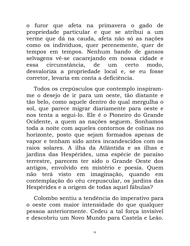o furor que afeta na primavera o gado de propriedade particular e que se atribui a um verme que dá na cauda, afeta não só as nações como os indivíduos, quer perenemente, quer de tempos em tempos. Nenhum bando de gansos selvagens vê-se cacarejando em nossa cidade e circunstância, de um certo modo. essa desvaloriza a propriedade local e, se eu fosse corretor, levaria em conta a deficiência.

Todos os crepúsculos que contemplo inspiramme o desejo de ir para um oeste, tão distante e tão belo, como aquele dentro do qual mergulha o sol, que parece migrar diariamente para oeste e nos tenta a segui-lo. Ele é o Pioneiro do Grande Ocidente, a quem as nações seguem. Sonhamos toda a noite com aqueles contornos de colinas no horizonte, posto que sejam formados apenas de vapor e tenham sido antes incandescidos com os raios solares. A ilha da Atlântida e as ilhas e jardins das Hespérides, uma espécie de paraíso terrestre, parecem ter sido o Grande Oeste dos antigos, envolvido em mistério e poesia. Quem não terá visto em imaginação, quando em contemplação do céu crepuscular, os jardins das Hespérides e a origem de todas aquel fábulas?

Colombo sentiu a tendência do imperativo para o oeste com maior intensidade do que qualquer pessoa anteriormente. Cedeu a tal força invisível e descobriu um Novo Mundo para Castela e Leão.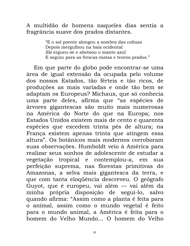#### A multidão de homens naqueles dias sentia a fragrância suave dos prados distantes.

"E o sol poente alongou a sombra das colinas Depois mergulhou na baía ocidental Ele ergueu-se e abotoou o manto azul E seguiu para as frescas matas e tenros prados."

Em que parte do globo pode encontrar-se uma área de igual extensão da ocupada pelo volume dos nossos Estados, tão férteis e tão ricos, de produções as mais variadas e onde tão bem se adaptam os Europeus? Michaux, que só conhecia uma parte deles, afirma que "as espécies de árvores gigantescas são muito mais numerosas na América do Norte do que na Europa; nos Estados Unidos existem mais de cento e quarenta espécies que excedem trinta pés de altura; na França existem apenas trinta que atingem essa altura". Os botânicos mais modernos corroboram suas observações. Humboldt veio à América para realizar seus sonhos de adolescente de estudar a vegetação tropical e contemplou-a, em sua perfeição suprema, nas florestas primitivas do Amazonas, a selva mais gigantesca da terra, e que com tanta eloqüência descreveu. O geógrafo Guyot, que é europeu, vai além — vai além da minha própria disposição de segui-lo, salvo quando afirma: "Assim como a planta é feita para o animal, assim como o mundo vegetal é feito para o mundo animal, a América é feita para o homem do Velho Mundo... O homem do Velho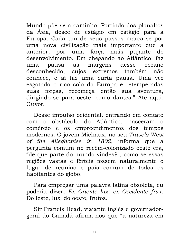Mundo põe-se a caminho. Partindo dos planaltos da Ásia, desce de estágio em estágio para a Europa. Cada um de seus passos marca-se por uma nova civilização mais importante que a anterior, por uma força mais pujante de desenvolvimento. Em chegando ao Atlântico, faz pausa às margens desse oceano uma desconhecido, cujos extremos também não conhece, e aí faz uma curta pausa. Uma vez esgotado o rico solo da Europa e retemperadas suas forças, recomeça então sua aventura, dirigindo-se para oeste, como dantes." Até aqui, Guyot.

Desse impulso ocidental, entrando em contato com o obstáculo do Atlântico, nasceram o comércio e os empreendimentos dos tempos modernos. O jovem Michaux, no seu Travels West of the Alleghanies in 1802, informa que a pergunta comum no recém-colonizado oeste era, "de que parte do mundo vindes?", como se essas regiões vastas e férteis fossem naturalmente o lugar de reunião e país comum de todos os habitantes do globo.

Para empregar uma palavra latina obsoleta, eu poderia dizer, Ex Oriente lux; ex Occidente frux. Do leste, luz; do oeste, frutos.

Sir Francis Head, viajante inglês e governadorgeral do Canadá afirma-nos que "a natureza em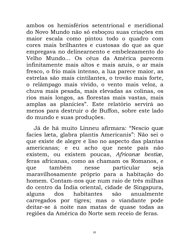ambos os hemisférios setentrional e meridional do Novo Mundo não só esbocou suas criações em maior escala como pintou todo o quadro com cores mais brilhantes e custosas do que as que empregava no delinearnento e embelezamento do Velho Mundo... Os céus da América parecem infinitamente mais altos e mais azuis, o ar mais fresco, o frio mais intenso, a lua parece maior, as estrelas são mais cintilantes, o trovão mais forte, o relâmpago mais vívido, o vento mais veloz, a chuva mais pesada, mais elevadas as colinas, os rios mais longos, as florestas mais vastas, mais amplas as planícies". Este relatório servirá ao menos para destruir o de Buffon, sobre este lado do mundo e suas produções.

Já de há muito Linneu afirmara: "Nescio quæ facies læta, glabra plantis Americanis": Não sei o que existe de alegre e liso no aspecto das plantas americanas; e eu acho que neste país não existem, ou existem poucas, Africanæ bestiæ, feras africanas, como as chamam os Romanos, e também particular que nesse seja maravilhosamente próprio para a habitação do homem. Contam-nos que num raio de três milhas do centro da Índia oriental, cidade de Singapura, alguns dos habitantes anualmente  $s\tilde{a}$ o carregados por tigres; mas o viandante pode deitar-se à noite nas matas de quase todas as regiões da América do Norte sem receio de feras.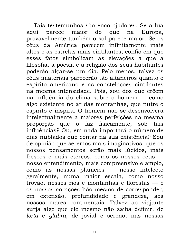Tais testemunhos são encorajadores. Se a lua maior do que na aqui parece Europa, provavelmente também o sol parece maior. Se os céus da América parecem infinitamente mais altos e as estrelas mais cintilantes, confio em que esses fatos simbolizam as elevações a que a filosofia, a poesia e a religião dos seus habitantes poderão alçar-se um dia. Pelo menos, talvez os céus imateriais parecerão tão altaneiros quanto o espírito americano e as constelações cintilantes na mesma intensidade. Pois, sou dos que crêem na influência do clima sobre o homem — como algo existente no ar das montanhas, que nutre o espírito e inspira. O homem não se desenvolverá intelectualmente a maiores perfeições na mesma proporção que o faz fisicamente, sob tais influências? Ou, em nada importará o número de dias nublados que contar na sua existência? Sou de opinião que seremos mais imaginativos, que os nossos pensamentos serão mais lúcidos, mais frescos e mais etéreos, como os nossos céus nosso entendimento, mais compreensivo e amplo, como as nossas planícies — nosso intelecto geralmente, numa maior escala, como nosso trovão, nossos rios e montanhas e florestas  $-$  e os nossos corações hão mesmo de corresponder, em extensão, profundidade e grandeza, aos nossos mares continentais. Talvez ao viajante surja algo que ele mesmo não saiba definir, de lœta e glabra, de jovial e sereno, nas nossas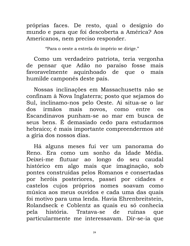próprias faces. De resto, qual o desígnio do mundo e para que foi descoberta a América? Aos Americanos, nem preciso responder.

"Para o oeste a estrela do império se dirige."

Como um verdadeiro patriota, teria vergonha de pensar que Adão no paraíso fosse mais favoravelmente aquinhoado de que o mais humilde camponês deste país.

Nossas inclinações em Massachusetts não se confinam à Nova Inglaterra; posto que sejamos do Sul, inclinamo-nos pelo Oeste. Aí situa-se o lar mais novos, como irmãos dos entre **OS** Escandinavos punham-se ao mar em busca de seus bens. É demasiado cedo para estudarmos hebraico; é mais importante compreendermos até a gíria dos nossos dias.

Há alguns meses fui ver um panorama do Reno. Era como um sonho da Idade Média. Deixei-me flutuar ao longo do seu caudal histórico em algo mais que imaginação, sob pontes construídas pelos Romanos e consertadas por heróis posteriores, passei por cidades e castelos cujos próprios nomes soavam como música aos meus ouvidos e cada uma das quais foi motivo para uma lenda. Havia Ehrenbreitstein, Rolandseck e Coblentz as quais eu só conhecia história. Tratava-se pela de ruínas que particularmente me interessavam. Dir-se-ia que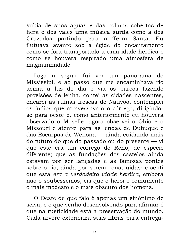subia de suas águas e das colinas cobertas de hera e dos vales uma música surda como a dos Cruzados partindo para a Terra Santa. Eu flutuava avante sob a égide do encantamento como se fora transportado a uma idade heróica e como se houvera respirado uma atmosfera de magnanimidade.

Logo a seguir fui ver um panorama do Mississípi, e ao passo que me encaminhava rio acima à luz do dia e via os barcos fazendo provisões de lenha, contei as cidades nascentes, encarei as ruínas frescas de Nauvoo, contemplei os índios que atravessavam o córrego, dirigindose para oeste e, como anteriormente eu houvera observado o Moselle, agora observei o Ohio e o Missouri e atentei para as lendas de Dubuque e das Escarpas de Wenona — ainda cuidando mais do futuro do que do passado ou do presente — vi que este era um córrego do Reno, de espécie diferente; que as fundações dos castelos ainda estavam por ser lançadas e as famosas pontes sobre o rio, ainda por serem construídas; e senti que esta era a verdadeira idade heróica, embora não o soubéssemos, eis que o herói é comumente o mais modesto e o mais obscuro dos homens.

O Oeste de que falo é apenas um sinônimo de selva; e o que venho desenvolvendo para afirmar é que na rusticidade está a preservação do mundo. Cada árvore exterioriza suas fibras para entregá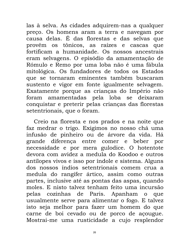las à selva. As cidades adquirem-nas a qualquer preço. Os homens aram a terra e navegam por causa delas. É das florestas e das selvas que provêm os tônicos, as raízes e cascas que fortificam a humanidade. Os nossos ancestrais eram selvagens. O episódio da amamentação de Rómulo e Remo por uma loba não é uma fábula mitológica. Os fundadores de todos os Estados que se tornaram eminentes também buscaram sustento e vigor em fonte igualmente selvagem. Exatamente porque as crianças do Império não foram amamentadas pela loba se deixaram conquistar e preterir pelas crianças das florestas setentrionais, que o foram.

Creio na floresta e nos prados e na noite que faz medrar o trigo. Exigimos no nosso chá uma infusão de pinheiro ou de árvore da vida. Há grande diferença entre comer e beber por necessidade e por mera gulodice. O hotentote devora com avidez a medula do Koodoo e outros antílopes vivos e isso por índole e sistema. Alguns dos nossos índios setentrionais comem crua a medula do rangífer ártico, assim como outras partes, inclusive até as pontas das aspas, quando moles. E nisto talvez tenham feito uma incursão pelas cozinhas de Paris. Apanham o que usualmente serve para alimentar o fogo. E talvez isto seja melhor para fazer um homem do que carne de boi cevado ou de porco de açougue. Mostrai-me uma rusticidade a cujo resplendor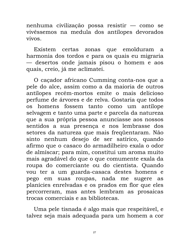nenhuma civilização possa resistir — como se vivês semos na medula dos antílopes devorados vivos

Existem certas zonas que emolduram a harmonia dos tordos e para os quais eu migraria — desertos onde jamais pisou o homem e aos quais, creio, já me aclimatei.

O caçador africano Cumming conta-nos que a pele do alce, assim como a da maioria de outros antílopes recém-mortos emite o mais delicioso perfume de árvores e de relva. Gostaria que todos homens fossem tanto como um antilope  $OS$ selvagem e tanto uma parte e parcela da natureza que a sua própria pessoa anunciasse aos nossos sentidos a sua presença e nos lembrasse dos setores da natureza que mais freqüentaram. Não sinto nenhum desejo de ser satírico, quando afirmo que o casaco do armadilheiro exala o odor de almíscar; para mim, constitui um aroma muito mais agradável do que o que comumente exala da roupa do comerciante ou do cientista. Quando vou ter a um guarda-casaca destes homens e pego em suas roupas, nada me sugere as planícies enrelvadas e os prados em flor que eles percorreram, mas antes lembram as prosaicas trocas comerciais e as bibliotecas.

Uma pele tisnada é algo mais que respeitável, e talvez seja mais adequada para um homem a cor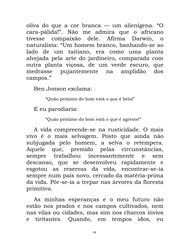oliva do que a cor branca — um alienígena. "O cara-pálida!". Não me admira que o africano tivesse compaixão dele. Afirma Darwin, o naturalista: "Um homem branco, banhando-se ao lado de um taitiano, era como uma planta alvejada pela arte do jardineiro, comparada com outra planta viçosa, de um verde escuro, que pujantemente na medrasse amplidão dos campos."

Ben Jonson exclama:

"Quão próximo do bom está o que é belol"

E eu parodiaria:

"Quão próximo do bom está o que é agreste!"

A vida compreende-se na rusticidade. O mais vivo é o mais selvagem. Posto que ainda não subjugada pelo homem, a selva o retempera. que, premido pelas circunstâncias, Aquele sempre trabalhou incessantemente  $\mathsf{e}$ sem descanso, que se desenvolveu rapidamente e esgotou as reservas da vida, encontrar-se-ia sempre num país novo, cercado da matéria-prima da vida. Pôr-se-ia a trepar nas árvores da floresta primitiva.

As minhas esperanças e o meu futuro não estão nos prados e nos campos cultivados, nem nas vilas ou cidades, mas sim nos charcos ínvios e tiritantes. Quando, em tempos idos, eu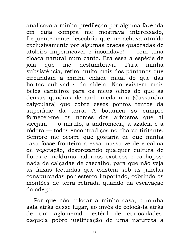analisava a minha predileção por alguma fazenda em cuja compra me mostrava interessado, freqüentemente descobria que me achava atraído exclusivamente por algumas braças quadradas de atoleiro impermeável e insondáve! — com uma cloaca natural num canto. Era essa a espécie de jóia que me deslumbrava. Para minha subsistência, retiro muito mais dos pântanos que circundam a minha cidade natal do que das hortas cultivadas da aldeia. Não existem mais belos canteiros para os meus olhos do que as densas quadras de andrômeda anã (Cassandra calyculata) que cobre esses pontos tenros da superfície da terra. À botânica só cumpre fornecer-me os nomes dos arbustos que aí vicejam — o mirtilo, a andrômeda, a azaléia e a ródora — todos encontradiços no charco tiritante. Sempre me ocorre que gostaria de que minha casa fosse fronteira a essa massa verde e calma de vegetação, desprezando qualquer cultura de flores e molduras, adornos exóticos e cachopos; nada de calçadas de cascalho, para que não veja as faixas fecundas que existem sob as janelas conspurcadas por esterco importado, cobrindo os montões de terra retirada quando da escavação da adega.

Por que não colocar a minha casa, a minha sala atrás desse lugar, ao invés de colocá-la atrás de um aglomerado estéril de curiosidades, daquela pobre justificação de uma natureza a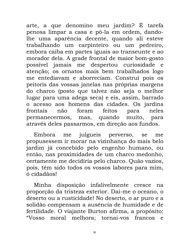arte, a que denomino meu jardim? É tarefa penosa limpar a casa e pô-la em ordem, dandolhe uma aparência decente, quando ali esteve trabalhando um carpinteiro ou um pedreiro, embora caiba em partes iguais ao transeunte e ao morador dela. A grade frontal de maior bom-gosto possível jamais me despertou curiosidade atenção; os ornatos mais bem trabalhados logo me entediavam e aborreciam. Construí pois os peitoris das vossas janelas nas próprias margens do charco (posto que talvez não seja o melhor lugar para uma adega seca) e eis, assim, barrado o acesso aos homens das cidades. Os jardins frontais feitos foram não para neles permanecermos, mas, quando muito, para através deles passarmos, em direção aos fundos.

julgueis perverso, Embora me se me propusessem ir morar na vizinhança do mais belo jardim já concebido pelo engenho humano, ou então, nas proximidades de um charco medonho, certamente me decidiria pelo charco. Quão vazios, pois, têm sido todos os vossos labores para mim, ó cidadãos!

Minha disposição infalivelmente cresce na proporção da tristeza exterior. Dai-me o oceano, o deserto ou a rusticidade! No deserto, o ar puro e a solidão compensam a ausência de humidade e de fertilidade. O viajante Burton afirma, a propósito: "Vosso moral melhora; tornai-vos francos  $\mathbf{e}$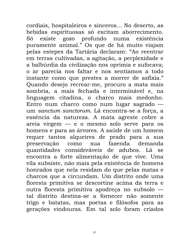cordiais, hospitaleiros e sinceros... No deserto, as bebidas espirituosas só excitam aborrecimento. existe gozo profundo numa existência Só puramente animal." Os que de há muito viajam pelas estepes da Tartária declaram: "Ao reentrar em terras cultivadas, a agitação, a perplexidade e a balbúrdia da civilização nos oprimia e sufocava; o ar parecia nos faltar e nos sentíamos a todo instante como que prestes a morrer de asfixia." Quando desejo recrear-me, procuro a mata mais sombria, a mais fechada e interminável e, na linguagem citadina, o charco mais medonho. Entro num charco como num lugar sagrado um sanctum sanctorum. Lá encontra-se a força, a essência da natureza. A mata agreste cobre a areia virgem - e o mesmo solo serve para os homens e para as árvores. A saúde de um homem requer tantos alqueires de prado para a sua sua fazenda demanda preservação  $como$ quantidades consideráveis de adubos. Lá se encontra a forte alimentação de que vive. Uma vila subsiste, não mais pela existência de homens honrados que nela residam do que pelas matas e charcos que a circundam. Um distrito onde uma floresta primitiva se descortine acima da terra e outra floresta primitiva apodreça no subsolo tal distrito destina-se a fornecer não somente trigo e batatas, mas poetas e filósofos para as gerações vindouras. Em tal solo foram criados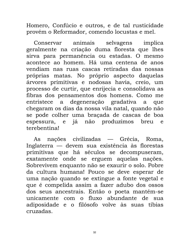Homero, Confúcio e outros, e de tal rusticidade provém o Reformador, comendo locustas e mel.

Conservar animais selvagens implica geralmente na criação duma floresta que lhes sirva para permanência ou estadas. O mesmo acontece ao homem. Há uma centena de anos vendiam nas ruas cascas retiradas das nossas próprias matas. No próprio aspecto daquelas árvores primitivas e nodosas havia, creio, um processo de curtir, que enrijecia e consolidava as fibras dos pensamentos dos homens. Como me entristece a degeneração gradativa que a chegaram os dias da nossa vila natal, quando não se pode colher uma braçada de cascas de boa espessura, e já não produzimos breu  $\epsilon$ terebentina!

nações civilizadas — Grécia, As Roma, Inglaterra — devem sua existência às florestas primitivas que há séculos se decompuseram, exatamente onde se erguem aquelas nações. Sobrevivem enquanto não se exaurir o solo. Pobre da cultura humana! Pouco se deve esperar de uma nação quando se extingue a fonte vegetal e que é compelida assim a fazer adubo dos ossos dos seus ancestrais. Então o poeta mantém-se unicamente com o fluxo abundante de sua adiposidade e o filósofo volve às suas tíbias cruzadas.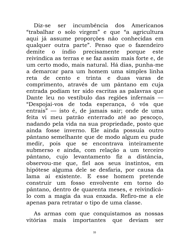Diz-se ser incumbência dos Americanos "trabalhar o solo virgem" e que "a agricultura aqui já assume proporções não conhecidas em qualquer outra parte". Penso que o fazendeiro demite o índio precisamente porque este reivindica as terras e se faz assim mais forte e, de um certo modo, mais natural. Há dias, punha-me a demarcar para um homem uma simples linha reta de cento e trinta e duas varas de comprimento, através de um pântano em cuja entrada podiam ter sido escritas as palavras que Dante leu no vestíbulo das regiões infernais — "Despojai-vos de toda esperança, ó vós que entrais" — isto é, de jamais sair; onde de uma feita vi meu patrão enterrado até ao pescoço, nadando pela vida na sua propriedade, posto que ainda fosse inverno. Ele ainda possuía outro pântano semelhante que de modo algum eu pude medir, pois que se encontrava inteiramente submerso e ainda, com relação a um terceiro pântano, cujo levantamento fiz a distância, observou-me que, fiel aos seus instintos, em hipótese alguma dele se desfaria, por causa da lama aí existente. E esse homem pretende construir um fosso envolvente em torno do pântano, dentro de quarenta meses, e reivindicálo com a magia da sua enxada. Refiro-me a ele apenas para retratar o tipo de uma classe.

As armas com que conquistamos as nossas mais importantes que deviam vitórias ser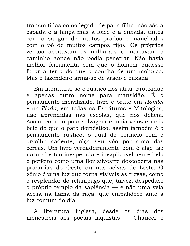transmitidas como legado de pai a filho, não são a espada e a lança mas a foice e a enxada, tintos com o sangue de muitos prados e manchados com o pó de muitos campos rijos. Os próprios ventos acoitavam os milharais e indicavam o caminho aonde não podia penetrar. Não havia melhor ferramenta com que o homem pudesse furar a terra do que a concha de um molusco. Mas o fazendeiro arma-se de arado e enxada.

Em literatura, só o rústico nos atrai. Frouxidão é apenas outro nome para mansidão. É o pensamento incivilizado, livre e bruto em Hamlet e na Ilíada, em todas as Escrituras e Mitologias, não aprendidas nas escolas, que nos delicia. Assim como o pato selvagem é mais veloz e mais belo do que o pato doméstico, assim também é o pensamento rústico, o qual de permeio com o orvalho cadente, alça seu vôo por cima das cercas. Um livro verdadeiramente bom é algo tão natural e tão inesperada e inexplicavelmente belo e perfeito como uma flor silvestre descoberta nas pradarias do Oeste ou nas selvas de Leste. O gênio é uma luz que torna visíveis as trevas, como o resplendor do relâmpago que, talvez, despedace o próprio templo da sapiência — e não uma vela acesa na flama da raça, que empalidece ante a luz comum do dia.

A literatura inglesa, desde os dias dos menestréis aos poetas laquistas — Chaucer e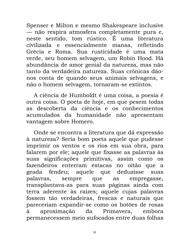Spenser e Milton e mesmo Shakespeare inclusive — não respira atmosfera completamente pura e, neste sentido, tom rústico. É uma literatura civilizada e essencialmente mansa, refletindo Grécia e Roma. Sua rusticidade é uma mata verde, seu homem selvagem, um Robin Hood. Há abundância de amor genial da natureza, mas não tanto da verdadeira natureza. Suas crônicas dãonos conta de quando seus animais selvagens, e não o homem selvagem, tornaram-se extintos.

A ciência de Humboldt é uma coisa, a poesia é outra coisa. O poeta de hoje, em que pesem todas as descoberta da ciência e os conhecimentos acumulados da humanidade não apresentam vantagem sobre Homero.

Onde se encontra a literatura que dá expressão à natureza? Seria bom poeta aquele que pudesse imprimir os ventos e os rios em sua obra, para falarem por ele; aquele que fixasse as palavras às suas significações primitivas, assim como os fazendeiros enterram estacas no oitão que a geada fendeu; aquele que deduzisse suas palavras, sempre empregasse, que as transplantava-as para suas páginas ainda com terra aderente às raízes; aquele cujas palavras fossem tão verdadeiras, frescas e naturais que pareceriam expandir-se como os botões de rosas aproximação Primavera, à da embora permanecessem meio sufocados entre duas folhas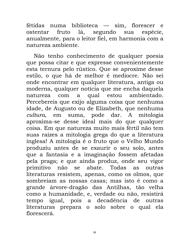fétidas numa biblioteca — sim, florescer e fruto lá, segundo sua espécie, ostentar anualmente, para o leitor fiel, em harmonia com a natureza ambiente.

Não tenho conhecimento de qualquer poesia que possa citar e que expresse convenientemente esta ternura pelo rústico. Que se aproxime desse estilo, o que há de melhor é medíocre. Não sei onde encontrar em qualquer literatura, antiga ou moderna, qualquer notícia que me encha daquela natureza com a qual estou ambientado. Percebereis que exijo alguma coisa que nenhuma idade, de Augusto ou de Elizabeth, que nenhuma cultura, em suma, pode dar. A mitologia aproxima-se desse ideal mais do que qualquer coisa. Em que natureza muito mais fértil não tem suas raízes a mitologia grega do que a literatura inglesa! A mitologia é o fruto que o Velho Mundo produziu antes de se exaurir o seu solo, antes que a fantasia e a imaginação fossem afetadas pela praga; e que ainda produz, onde seu vigor primitivo não se abate. Todas as outras literaturas resistem, apenas, como os olmos, que sombreiam as nossas casas; mas isto é como a grande árvore-dragão das Antilhas, tão velha como a humanidade, e, verdade ou não, resistirá tempo igual, pois a decadência de outras literaturas prepara o solo sobre o qual ela florescerá.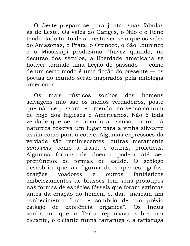O Oeste prepara-se para juntar suas fábulas às de Leste. Os vales do Ganges, o Nilo e o Reno tendo dado tanto de si, resta ver-se o que os vales do Amazonas, o Prata, o Orenoco, o São Lourenço e o Mississípi produzirão. Talvez quando, no decurso dos séculos, a liberdade americana se houver tornado uma ficção do passado — como de um certo modo é uma ficção do presente — os poetas do mundo serão inspirados pela mitologia americana

mais rústicos sonhos dos homens  $\mathcal{L}$ selvagens não são os menos verdadeiros, posto que não se possam recomendar ao senso comum de hoje dos Ingleses e Americanos. Não é toda verdade que se recomenda ao senso comum. A natureza reserva um lugar para a vinha silvestre assim como para a couve. Algumas expressões da verdade são reminiscentes, outras meramente sensíveis, como a frase, e outras, proféticas. Algumas formas de doença podem até ser prenúncios de formas de saúde. O geólogo descobriu que as figuras de serpentes, grifos, dragões voadores e outros fantásticos embelezamentos de brasões têm seus protótipos nas formas de espécies fósseis que foram extintas antes da criação do homem e, daí, "indicam um conhecimento fraco e sombrio de um prévio estágio de existência orgânica". Os Indus sonharam que a Terra repousava sobre um elefante, o elefante numa tartaruga e a tartaruga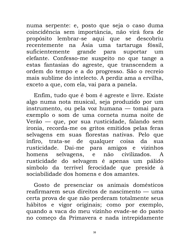numa serpente: e, posto que seja o caso duma coincidência sem importância, não virá fora de propósito lembrar-se aqui que se descobriu recentemente na Ásia uma tartaruga fóssil, suficientemente grande para suportar um elefante. Confesso-me suspeito no que tange a estas fantasias do agreste, que transcendem a ordem do tempo e a do progresso. São o recreio mais sublime do intelecto. A perdiz ama a ervilha, exceto a que, com ela, vai para a panela.

Enfim, tudo que é bom é agreste e livre. Existe algo numa nota musical, seja produzido por um instrumento, ou pela voz humana — tomai para exemplo o som de uma corneta numa noite de Verão — que, por sua rusticidade, falando sem ironia, recorda-me os gritos emitidos pelas feras selvagens em suas florestas nativas. Pelo que infiro, trata-se de qualquer coisa da sua rusticidade. Dai-me para amigos e vizinhos homens selvagens, e não civilizados. A rusticidade do selvagem é apenas um pálido símbolo da terrível ferocidade que preside à sociabilidade dos homens e dos amantes.

Gosto de presenciar os animais domésticos reafirmarem seus direitos de nascimento — uma certa prova de que não perderam totalmente seus hábitos e vigor originais; como por exemplo, quando a vaca do meu vizinho evade-se do pasto no começo da Primavera e nada intrepidamente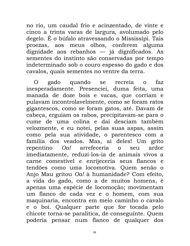no rio, um caudal frio e acinzentado, de vinte e cinco a trinta varas de largura, avolumado pelo degelo. É o búfalo atravessando o Mississípi. Tais proezas, aos meus olhos, conferem alguma dignidade aos rebanhos — já dignificados. As sementes do instinto são conservadas por tempo indeterminado sob o couro espesso do gado e dos cavalos, quais sementes no ventre da terra.

 $\Omega$ gado quando se recreia  $faz$  $\Omega$ inesperadamente. Presenciei, duma feita, uma manada de doze bois e vacas, que corriam e pulavam incontrolavelmente, como se foram ratos gigantescos, como se foram gatos, até. Davam de cabeça, erguiam os rabos, precipitavam-se para o cume de uma colina e daí desciam também velozmente, e eu notei, pelas suas aspas, assim como pela sua atividade, o parentesco com a família dos veados. Mas, ai deles! Um grito Oa! arrefeceria o repentino seu ardor imediatamente, reduzi-los-ia de animais vivos a carne comestível e enrijeceria seus flancos e tendões como uma locomotiva. Quem senão o Anjo Mau gritou Oa! à humanidade? Com efeito, a vida do gado, como a de muitos homens, é apenas uma espécie de locomoção; movimentam um flanco de cada vez e o homem, com sua maquinaria, encontra em meio caminho o cavalo e o boi. Qualquer parte que for tocada pelo chicote torna-se paralítica, de conseguinte. Quem poderia pensar num flanco de qualquer dos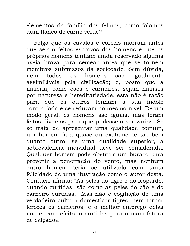elementos da família dos felinos, como falamos dum flanco de carne verde?

Folgo que os cavalos e corcéis morram antes que sejam feitos escravos dos homens e que os próprios homens tenham ainda reservado alguma aveia brava para semear antes que se tornem membros submissos da sociedade. Sem dúvida, homens igualmente todos são nem  $OS$ assimiláveis pela civilização; e, posto que a maioria, como cães e carneiros, sejam mansos por natureza e hereditariedade, esta não é razão para que os outros tenham a sua índole contrariada e se reduzam ao mesmo nível. De um modo geral, os homens são iguais, mas foram feitos diversos para que pudessem ser vários. Se se trata de apresentar uma qualidade comum, um homem fará quase ou exatamente tão bem quanto outro; se uma qualidade superior, a sobrevalência individual deve ser considerada. Qualquer homem pode obstruir um buraco para prevenir a penetração do vento, mas nenhum outro homem teria se utilizado com tanta felicidade de uma ilustração como o autor desta. Confúcio afirma: "As peles do tigre e do leopardo, quando curtidas, são como as peles do cão e do carneiro curtidas." Mas não é cogitação de uma verdadeira cultura domesticar tigres, nem tornar ferozes os carneiros; e o melhor emprego delas não é, com efeito, o curti-los para a manufatura de calçados.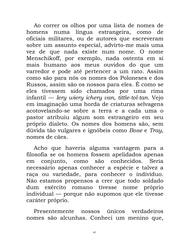Ao correr os olhos por uma lista de nomes de homens numa língua estrangeira, como de oficiais militares, ou de autores que escreveram sobre um assunto especial, advirto-me mais uma vez de que nada existe num nome. O nome Menschikoff, por exemplo, nada ostenta em si mais humano aos meus ouvidos do que um varredor e pode até pertencer a um rato. Assim como são para nós os nomes dos Poloneses e dos Russos, assim são os nossos para eles. É como se eles tivessem sido chamados por uma rima infantil — Iery wiery ichery van, tittle-tol-tan. Vejo em imaginação uma horda de criaturas selvagens acotovelando-se sobre a terra e a cada uma o pastor atribuiu algum som estrangeiro em seu próprio dialeto. Os nomes dos homens são, sem dúvida tão vulgares e ignóbeis como Bose e Tray, nomes de cães.

Acho que haveria alguma vantagem para a filosofia se os homens fossem apelidados apenas em conjunto, como são conhecidos. Seria necessário apenas conhecer a espécie e talvez a raça ou variedade, para conhecer o indivíduo. Não estamos propensos a crer que todo soldado dum exército romano tivesse nome próprio individual — porque não supomos que ele tivesse caráter próprio.

verdadeiros Presentemente únicos nossos nomes são alcunhas. Conheci um menino que,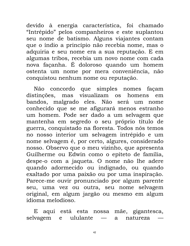devido à energia característica, foi chamado "Intrépido" pelos companheiros e este suplantou seu nome de batismo. Alguns viajantes contam que o índio a princípio não recebia nome, mas o adquiria e seu nome era a sua reputação. E em algumas tribos, recebia um novo nome com cada nova façanha. É doloroso quando um homem ostenta um nome por mera conveniência, não conquistou nenhum nome ou reputação.

Não concordo que simples nomes façam distinções, mas visualizam os homens  $em$ bandos, malgrado eles. Não será um nome conhecido que se me afigurará menos estranho um homem. Pode ser dado a um selvagem que mantenha em segredo o seu próprio título de guerra, conquistado na floresta. Todos nós temos no nosso interior um selvagem intrépido e um nome selvagem é, por certo, algures, considerado nosso. Observo que o meu vizinho, que apresenta Guilherme ou Edwin como o epíteto de família, despe-o com a jaqueta. O nome não lhe adere quando adormecido ou indignado, ou quando exaltado por uma paixão ou por uma inspiração. Parece-me ouvir pronunciado por algum parente seu, uma vez ou outra, seu nome selvagem original, em algum jargão ou mesmo em algum idioma melodioso.

aqui está esta nossa mãe, gigantesca,  $E$ selvagem ululante  $\mathbf{e}$  $\mathbf{a}$ natureza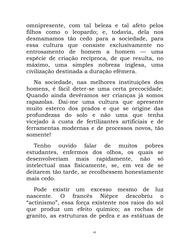omnipresente, com tal beleza e tal afeto pelos filhos como o leopardo; e, todavia, dela nos desmamamos tão cedo para a sociedade, para essa cultura que consiste exclusivamente no entrosamento de homem a homem — uma espécie de criação recíproca, de que resulta, no máximo, uma simples nobreza inglesa, uma civilização destinada a duração efêmera.

Na sociedade, nas melhores instituições dos homens, é fácil deter-se uma certa precocidade. Quando ainda devêramos ser crianças já somos rapazolas. Dai-me uma cultura que apresente muito esterco dos prados e que se origine das profundezas do solo e não uma que tenha vicejado à custa de fertilizantes artificiais e de ferramentas modernas e de processos novos, tão somente!

ouvido Tenho falar de muitos pobres estudantes, enfermos dos olhos, os quais se desenvolveriam mais rapidamente, não SÓ intelectual mas fisicamente, se, em vez de se deitarem tão tarde, se recolhessem honestamente mais cedo.

Pode existir um excesso mesmo de luz  $\overline{O}$ francês Niépce descobriu o nascente. "actinismo", essa força existente nos raios do sol que produz um efeito químico; as rochas de granito, as estruturas de pedra e as estátuas de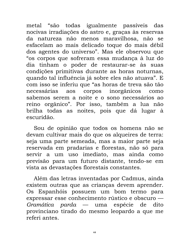metal "são todas igualmente passíveis das nocivas irradiações do astro e, graças às reservas da natureza não menos maravilhosa, não se esfacelam ao mais delicado toque do mais débil dos agentes do universo". Mas ele observou que "os corpos que sofreram essa mudança à luz do dia tinham o poder de restaurar-se às suas condições primitivas durante as horas noturnas, quando tal influência já sobre eles não atuava". E com isso se inferiu que "as horas de treva são tão necessárias aos corpos inorgânicos como sabemos serem a noite e o sono necessários ao reino orgânico". Por isso, também a lua não brilha todas as noites, pois que dá lugar à escuridão.

Sou de opinião que todos os homens não se devam cultivar mais do que os alqueires de terra: seja uma parte semeada, mas a maior parte seja reservada em pradarias e florestas, não só para servir a um uso imediato, mas ainda como previsão para um futuro distante, tendo-se em vista as devastações florestais constantes.

Além das letras inventadas por Cadmus, ainda existem outras que as crianças devem aprender. Os Espanhóis possuem um bom termo para expressar esse conhecimento rústico e obscuro — *Gramática parda* — uma espécie de dito provinciano tirado do mesmo leopardo a que me referi antes.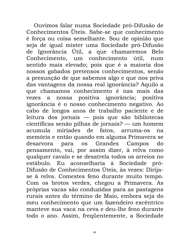Ouvimos falar numa Sociedade pró-Difusão de Conhecimentos Üteis. Sabe-se que conhecimento é força ou coisa semelhante. Sou de opinião que seja de igual mister uma Sociedade pró-Difusão de Ignorância Útil, a que chamaremos **Belo** Conhecimento, um conhecimento útil. num sentido mais elevado; pois que é a maioria dos nossos gabados pretensos conhecimentos, senão a presunção de que sabemos algo e que nos priva das vantagens da nossa real ignorância? Aquilo a que chamamos conhecimento é nas mais das vezes a nossa positiva ignorância; positiva ignorância é o nosso conhecimento negativo. Ao cabo de longos anos de trabalho paciente e de leitura dos jornais — pois que são bibliotecas científicas senão pilhas de jornais? — um homem acumula miríades de fatos. arruma-os na memória e então quando em alguma Primavera se desarvora para os Grandes Campos do pensamento, vai, por assim dizer, à relva como qualquer cavalo e se desatrela todos os arreios no estábulo. Eu aconselharia à Sociedade pró-Difusão de Conhecimentos Úteis, às vezes: Dirijase à relva. Comestes feno durante muito tempo. Com os brotos verdes, chegou a Primavera. As próprias vacas são conduzidas para as pastagens rurais antes do término de Maio, embora seja do meu conhecimento que um fazendeiro excêntrico manteve sua vaca na ceva e deu-lhe feno durante todo o ano. Assim, freqüentemente, a Sociedade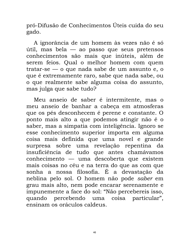pró-Difusão de Conhecimentos Úteis cuida do seu gado.

A ignorância de um homem às vezes não é só útil, mas bela — ao passo que seus pretensos conhecimentos são mais que inúteis, além de serem feios. Qual o melhor homem com quem tratar-se — o que nada sabe de um assunto e, o que é extremamente raro, sabe que nada sabe, ou o que realmente sabe alguma coisa do assunto, mas julga que sabe tudo?

Meu anseio de saber é intermitente, mas o meu anseio de banhar a cabeça em atmosferas que os pés desconhecem é perene e constante. O ponto mais alto a que podemos atingir não é o saber, mas a simpatia com inteligência. Ignoro se esse conhecimento superior importa em alguma coisa mais definida que uma novel e grande surpresa sobre uma revelação repentina da insuficiência de tudo que antes chamávamos conhecimento — uma descoberta que existem mais coisas no céu e na terra do que as com que sonha a nossa filosofia. É a devastação da neblina pelo sol. O homem não pode saber em grau mais alto, nem pode encarar serenamente e impunemente a face do sol: "Não percebereis isso, quando percebendo uma coisa particular", ensinam os oráculos caldeus.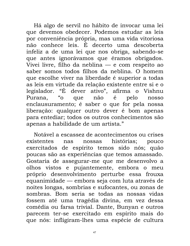Há algo de servil no hábito de invocar uma lei que devemos obedecer. Podemos estudar as leis por conveniência própria, mas uma vida vitoriosa não conhece leis. É decerto uma descoberta infeliz a de uma lei que nos obriga, sabendo-se que antes ignorávamos que éramos obrigados. Vivei livre, filho da neblina — e com respeito ao saber somos todos filhos da neblina. O homem que escolhe viver na liberdade é superior a todas as leis em virtude da relação existente entre si e o legislador. "É dever ativo", afirma o Vishnu  $\alpha^{\omega}$ que não é Purana. pelo nosso enclausuramento; é saber o que for pela nossa liberação: qualquer outro dever é bom apenas para entediar; todos os outros conhecimentos são apenas a habilidade de um artista."

Notável a escassez de acontecimentos ou crises existentes histórias: pouco nas nossas exercitados de espírito temos sido nós; quão poucas são as experiências que temos amassado. Gostaria de assegurar-me que me desenvolvo a olhos vistos e pujantemente, embora o meu próprio desenvolvimento perturbe essa frouxa equanimidade — embora seja com luta através de noites longas, sombrias e sufocantes, ou zonas de sombras. Bom seria se todas as nossas vidas fossem até uma tragédia divina, em vez dessa comédia ou farsa trivial. Dante, Bunyan e outros parecem ter-se exercitado em espírito mais do que nós: infligiram-lhes uma espécie de cultura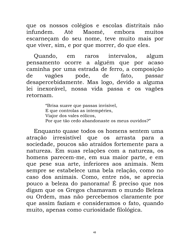que os nossos colégios e escolas distritais não Maomé, embora infundem. Até muitos escarneçam do seu nome, teve muito mais por que viver, sim, e por que morrer, do que eles.

intervalos. Ouando, algum  $em$ raros pensamento ocorre a alguém que por acaso caminha por uma estrada de ferro, a composição de vagões pode, de fato, passar desapercebidamente. Mas logo, devido a alguma lei inexorável, nossa vida passa e os vagões retornam.

> "Brisa suave que passas invisível, E que controlas as intempéries, Viajor dos vales eólicos, Por que tão cedo abandonaste os meus ouvidos?"

Enquanto quase todos os homens sentem uma atração irresistível que os arrasta para a sociedade, poucos são atraídos fortemente para a natureza. Em suas relações com a natureza, os homens parecem-me, em sua maior parte, e em que pese sua arte, inferiores aos animais. Nem sempre se estabelece uma bela relação, como no caso dos animais. Como, entre nós, se aprecia pouco a beleza do panorama! É preciso que nos digam que os Gregos chamavam o mundo Beleza ou Ordem, mas não percebemos claramente por que assim faziam e consideramos o fato, quando muito, apenas como curiosidade filológica.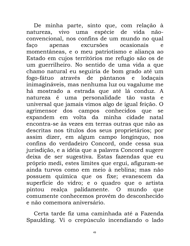De minha parte, sinto que, com relação à natureza, vivo uma espécie de vida nãoconvencional, nos confins de um mundo no qual excursões ocasionais apenas faço  $\epsilon$ momentâneas, e o meu patriotismo e aliança ao Estado em cujos territórios me refugio são os de um guerrilheiro. No sentido de uma vida a que chamo natural eu seguiria de bom grado até um através de pântanos e lodaçais fogo-fátuo inimagináveis, mas nenhuma luz ou vagalume me há mostrado a estrada que até lá conduz. A natureza é uma personalidade tão vasta e universal que jamais vimos algo de igual feição. O agrimensor dos campos conhecidos que se expandem em volta da minha cidade natal encontra-se às vezes em terras outras que não as descritas nos títulos dos seus proprietários; por assim dizer, em algum campo longínquo, nos confins do verdadeiro Concord, onde cessa sua jurisdição, e a idéia que a palavra Concord sugere deixa de ser sugestiva. Estas fazendas que eu próprio medi, estes limites que ergui, afiguram-se ainda turvos como em meio à neblina; mas não possuem química que os fixe; evanescem da superfície do vidro; e o quadro que o artista pintou realça palidamente. O mundo que comumente conhecemos provém do desconhecido e não comemora aniversário.

Certa tarde fiz uma caminhada até a Fazenda Spaulding. Vi o crepúsculo incendiando o lado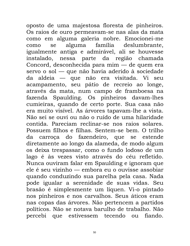oposto de uma majestosa floresta de pinheiros. Os raios de ouro permeavam-se nas alas da mata como em alguma galeria nobre. Emocionei-me alguma família deslumbrante, se como igualmente antiga e admirável, ali se houvesse instalado, nessa parte da região chamada Concord, desconhecida para mim — de quem era servo o sol — que não havia aderido à sociedade da aldeia — que não era visitada. Vi seu acampamento, seu pátio de recreio ao longe, através da mata, num campo de framboesa na fazenda Spaulding. Os pinheiros davam-lhes cumieiras, quando de certo porte. Sua casa não era muito visível. As árvores tapavam-lhe a vista. Não sei se ouvi ou não o ruído de uma hilaridade contida. Pareciam reclinar-se nos raios solares. Possuem filhos e filhas. Sentem-se bem. O trilho da carroça do fazendeiro, que se estende diretamente ao longo da alameda, de modo algum os deixa trespassar, como o fundo lodoso de um lago é às vezes visto através do céu refletido. Nunca ouviram falar em Spaulding e ignoram que ele é seu vizinho — embora eu o ouvisse assobiar quando conduzindo sua parelha pela casa. Nada pode igualar a serenidade de suas vidas. Seu brasão é simplesmente um líquen. Vi-o pintado nos pinheiros e nos carvalhos. Seus áticos eram nas copas das árvores. Não pertencem a partidos políticos. Não se notava barulho de trabalho. Não percebi que estivessem tecendo ou fiando.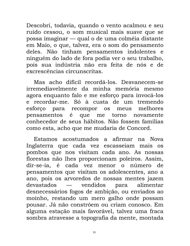Descobri, todavia, quando o vento acalmou e seu ruído cessou, o som musical mais suave que se possa imaginar — qual o de uma colméia distante em Maio, o que, talvez, era o som do pensamento deles. Não tinham pensamentos indolentes e ninguém do lado de fora podia ver o seu trabalho, pois sua indústria não era feita de nós e de excrescências circunscritas.

Mas acho difícil recordá-los. Desvanecem-se irremediavelmente da minha memória mesmo agora enquanto falo e me esforço para invocá-los e recordar-me. Só à custa de um tremendo melhores para recompor esforco meus  $OS$ pensamentos é que torno me novamente conhecedor de seus hábitos. Não fossem famílias como esta, acho que me mudaria de Concord.

Estamos acostumados a afirmar na Nova Inglaterra que cada vez escasseiam mais os pombos que nos visitam cada ano. As nossas florestas não lhes proporcionam poleiros. Assim, dir-se-ia, é cada vez menor número  $\overline{O}$ de pensamentos que visitam os adolescentes, ano a ano, pois os arvoredos de nossas mentes jazem devastados vendidos alimentar para desnecessários fogos de ambição, ou enviados ao moinho, restando um mero galho onde possam pousar. Já não constróem ou criam conosco. Em alguma estação mais favorável, talvez uma fraca sombra atravesse a topografia da mente, montada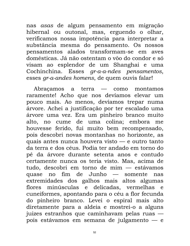nas asas de algum pensamento em migração hibernal ou outonal, mas, erguendo o olhar, verificamos nossa impotência para interpretar a substância mesma do pensamento. Os nossos pensamentos alados transformam-se em aves domésticas. Já não ostentam o vôo do condor e só visam ao esplendor de um Shanghai e uma Cochinchina. Esses gr-a-a-ndes pensamentos, esses gr-a-andes homens, de quem ouvis falar!

Abracamos a terra — como montamos raramente! Acho que nos devíamos elevar um pouco mais. Ao menos, devíamos trepar numa árvore. Achei a justificação por ter escalado uma árvore uma vez. Era um pinheiro branco muito alto, no cume de uma colina; embora me houvesse ferido, fui muito bem recompensado, pois descobri novas montanhas no horizonte, as quais antes nunca houvera visto — e outro tanto da terra e dos céus. Podia ter andado em torno do pé da árvore durante setenta anos e contudo certamente nunca os teria visto. Mas, acima de tudo, descobri em torno de mim — estávamos quase no fim de Junho — somente nas extremidades dos galhos mais altos algumas flores minúsculas e delicadas, vermelhas e cuneiformes, apontando para o céu a flor fecunda do pinheiro branco. Levei o espiral mais alto diretamente para a aldeia e mostrei-o a alguns juizes estranhos que caminhavam pelas ruas pois estávamos em semana de julgamento — e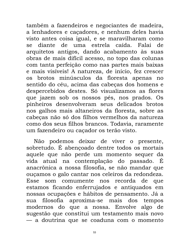também a fazendeiros e negociantes de madeira, a lenhadores e caçadores, e nenhum deles havia visto antes coisa igual, e se maravilharam como se diante de uma estrela caída. Falai de arquitetos antigos, dando acabamento às suas obras de mais difícil acesso, no topo das colunas com tanta perfeição como nas partes mais baixas e mais visíveis! A natureza, de início, fez crescer os brotos minúsculos da floresta apenas no sentido do céu, acima das cabeças dos homens e despercebidos destes. Só visualizamos as flores que jazem sob os nossos pés, nos prados. Os pinheiros desenvolveram seus delicados brotos nos galhos mais altaneiros da floresta, sobre as cabeças não só dos filhos vermelhos da natureza como dos seus filhos brancos. Todavia, raramente um fazendeiro ou caçador os terão visto.

Não podemos deixar de viver o presente, sobretudo. É abençoado dentre todos os mortais aquele que não perde um momento sequer da vida atual na contemplação do passado. É anacrônica a nossa filosofia, se não mandar que ouçamos o galo cantar nos celeiros da redondeza. Esse som comumente nos recorda de que estamos ficando enferrujados e antiquados em nossas ocupações e hábitos de pensamento. Já a filosofia aproxima-se mais dos tempos sua modernos do que a nossa. Envolve algo de sugestão que constitui um testamento mais novo — a doutrina que se coaduna com o momento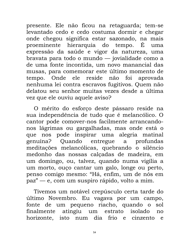presente. Ele não ficou na retaguarda; tem-se levantado cedo e cedo costuma dormir e chegar onde chegou significa estar sazonado, na mais proeminente hierarquia do tempo. É uma expressão da saúde e vigor da natureza, uma bravata para todo o mundo — jovialidade como a de uma fonte incontida, um novo manancial das musas, para comemorar este último momento de tempo. Onde ele reside não foi aprovada nenhuma lei contra escravos fugitivos. Quem não delatou seu senhor muitas vezes desde a última vez que ele ouviu aquele aviso?

O mérito do esforço deste pássaro reside na sua independência de tudo que é melancólico. O cantor pode comover-nos facilmente arrancandonos lágrimas ou gargalhadas, mas onde está o que nos pode inspirar uma alegria matinal profundas genuína? Quando entregue a meditações melancólicas, quebrando o silêncio medonho das nossas calçadas de madeira, em um domingo, ou, talvez, quando numa vigília a um morto, ouço cantar um galo, longe ou perto, penso comigo mesmo: "Há, enfim, um de nós em paz" — e, com um suspiro rápido, volto a mim.

Tivemos um notável crepúsculo certa tarde do último Novembro. Eu vagava por um campo, fonte de um pequeno riacho, quando o sol atingiu um finalmente estrato isolado  $no$ dia frio e cinzento horizonte, isto num  $\epsilon$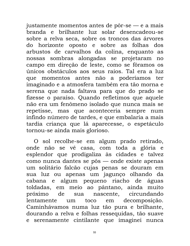justamente momentos antes de pôr-se — e a mais branda e brilhante luz solar desencadeou-se sobre a relva seca, sobre os troncos das árvores do horizonte oposto e sobre as folhas dos arbustos de carvalhos da colina, enquanto as nossas sombras alongadas se projetaram no campo em direção de leste, como se fôramos os únicos obstáculos aos seus raios. Tal era a luz que momentos antes não a poderíamos ter imaginado e a atmosfera também era tão morna e serena que nada faltava para que do prado se fizesse o paraíso. Quando refletimos que aquele não era um fenômeno isolado que nunca mais se repetisse, mas que aconteceria sempre num infindo número de tardes, e que embalaria a mais tardia criança que lá aparecesse, o espetáculo tornou-se ainda mais glorioso.

O sol recolhe-se em algum prado retirado, onde não se vê casa, com toda a glória e esplendor que prodigaliza às cidades e talvez como nunca dantes se pôs — onde existe apenas um solitário falcão cujas penas se douram em sua luz ou apenas um jagunço olhando da cabana e algum pequeno riacho de águas toldadas, em meio ao pântano, ainda muito próximo de nascente, circundando sua toco em decomposição. lentamente um Caminhávamos numa luz tão pura e brilhante, dourando a relva e folhas ressequidas, tão suave e serenamente cintilante que imaginei nunca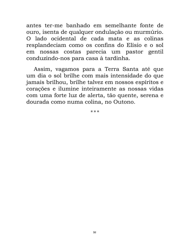antes ter-me banhado em semelhante fonte de ouro, isenta de qualquer ondulação ou murmúrio. O lado ocidental de cada mata e as colinas resplandeciam como os confins do Elísio e o sol em nossas costas parecia um pastor gentil conduzindo-nos para casa à tardinha.

Assim, vagamos para a Terra Santa até que um dia o sol brilhe com mais intensidade do que jamais brilhou, brilhe talvez em nossos espíritos e corações e ilumine inteiramente as nossas vidas com uma forte luz de alerta, tão quente, serena e dourada como numa colina, no Outono.

\* \* \*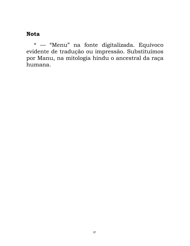#### **Nota**

\* — "Menu" na fonte digitalizada. Equívoco evidente de tradução ou impressão. Substituímos por Manu, na mitologia hindu o ancestral da raça humana.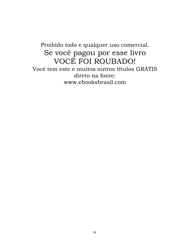## Proibido todo e qualquer uso comercial. Se você pagou por esse livro VOCÊ FOI ROUBADO! Você tem este e muitos outros títulos GRÁTIS direto na fonte: www.ebooksbrasil.com